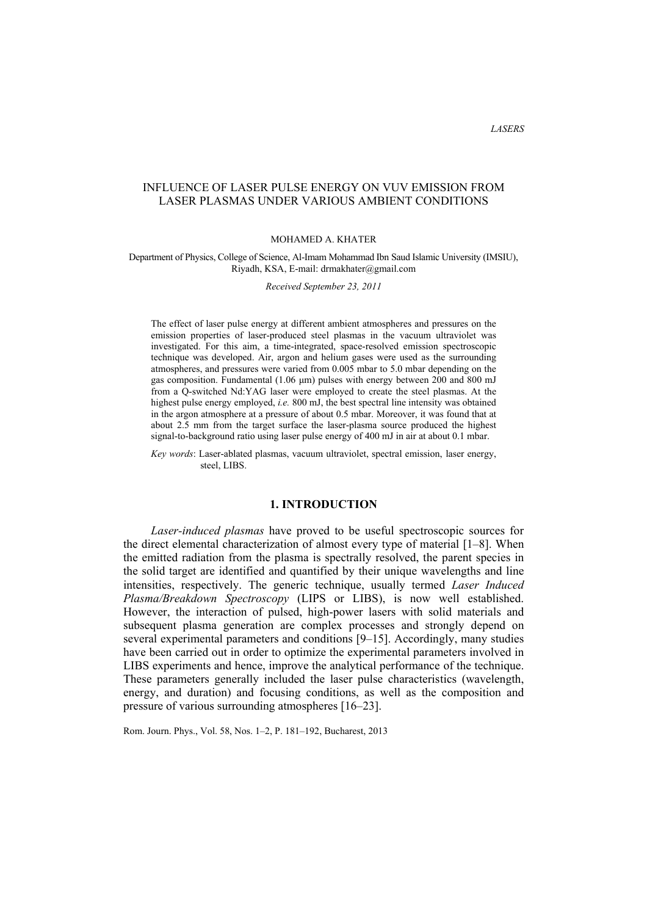*LASERS*

# INFLUENCE OF LASER PULSE ENERGY ON VUV EMISSION FROM LASER PLASMAS UNDER VARIOUS AMBIENT CONDITIONS

### MOHAMED A. KHATER

### Department of Physics, College of Science, Al-Imam Mohammad Ibn Saud Islamic University (IMSIU), Riyadh, KSA, E-mail: drmakhater@gmail.com

*Received September 23, 2011* 

The effect of laser pulse energy at different ambient atmospheres and pressures on the emission properties of laser-produced steel plasmas in the vacuum ultraviolet was investigated. For this aim, a time-integrated, space-resolved emission spectroscopic technique was developed. Air, argon and helium gases were used as the surrounding atmospheres, and pressures were varied from 0.005 mbar to 5.0 mbar depending on the gas composition. Fundamental (1.06 µm) pulses with energy between 200 and 800 mJ from a Q-switched Nd:YAG laser were employed to create the steel plasmas. At the highest pulse energy employed, *i.e.* 800 mJ, the best spectral line intensity was obtained in the argon atmosphere at a pressure of about 0.5 mbar. Moreover, it was found that at about 2.5 mm from the target surface the laser-plasma source produced the highest signal-to-background ratio using laser pulse energy of 400 mJ in air at about 0.1 mbar.

*Key words*: Laser-ablated plasmas, vacuum ultraviolet, spectral emission, laser energy, steel, LIBS.

## **1. INTRODUCTION**

*Laser-induced plasmas* have proved to be useful spectroscopic sources for the direct elemental characterization of almost every type of material [1–8]. When the emitted radiation from the plasma is spectrally resolved, the parent species in the solid target are identified and quantified by their unique wavelengths and line intensities, respectively. The generic technique, usually termed *Laser Induced Plasma/Breakdown Spectroscopy* (LIPS or LIBS), is now well established. However, the interaction of pulsed, high-power lasers with solid materials and subsequent plasma generation are complex processes and strongly depend on several experimental parameters and conditions [9–15]. Accordingly, many studies have been carried out in order to optimize the experimental parameters involved in LIBS experiments and hence, improve the analytical performance of the technique. These parameters generally included the laser pulse characteristics (wavelength, energy, and duration) and focusing conditions, as well as the composition and pressure of various surrounding atmospheres [16–23].

Rom. Journ. Phys., Vol. 58, Nos. 1–2, P. 181–192, Bucharest, 2013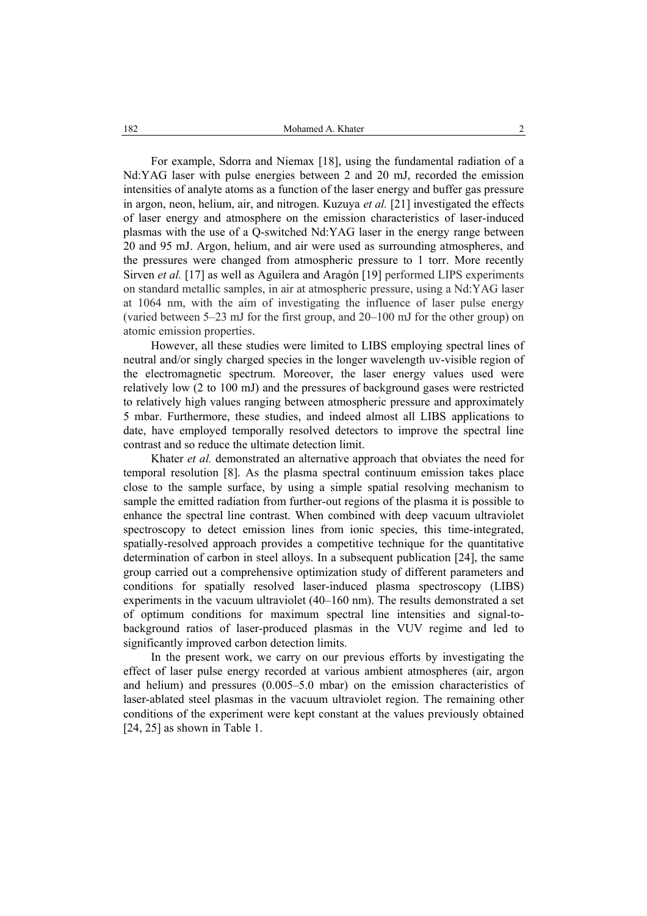For example, Sdorra and Niemax [18], using the fundamental radiation of a Nd:YAG laser with pulse energies between 2 and 20 mJ, recorded the emission intensities of analyte atoms as a function of the laser energy and buffer gas pressure in argon, neon, helium, air, and nitrogen. Kuzuya *et al.* [21] investigated the effects of laser energy and atmosphere on the emission characteristics of laser-induced plasmas with the use of a Q-switched Nd:YAG laser in the energy range between 20 and 95 mJ. Argon, helium, and air were used as surrounding atmospheres, and the pressures were changed from atmospheric pressure to 1 torr. More recently Sirven *et al.* [17] as well as Aguilera and Aragón [19] performed LIPS experiments on standard metallic samples, in air at atmospheric pressure, using a Nd:YAG laser at 1064 nm, with the aim of investigating the influence of laser pulse energy (varied between 5–23 mJ for the first group, and 20–100 mJ for the other group) on atomic emission properties.

However, all these studies were limited to LIBS employing spectral lines of neutral and/or singly charged species in the longer wavelength uv-visible region of the electromagnetic spectrum. Moreover, the laser energy values used were relatively low (2 to 100 mJ) and the pressures of background gases were restricted to relatively high values ranging between atmospheric pressure and approximately 5 mbar. Furthermore, these studies, and indeed almost all LIBS applications to date, have employed temporally resolved detectors to improve the spectral line contrast and so reduce the ultimate detection limit.

Khater *et al.* demonstrated an alternative approach that obviates the need for temporal resolution [8]. As the plasma spectral continuum emission takes place close to the sample surface, by using a simple spatial resolving mechanism to sample the emitted radiation from further-out regions of the plasma it is possible to enhance the spectral line contrast. When combined with deep vacuum ultraviolet spectroscopy to detect emission lines from ionic species, this time-integrated, spatially-resolved approach provides a competitive technique for the quantitative determination of carbon in steel alloys. In a subsequent publication [24], the same group carried out a comprehensive optimization study of different parameters and conditions for spatially resolved laser-induced plasma spectroscopy (LIBS) experiments in the vacuum ultraviolet (40–160 nm). The results demonstrated a set of optimum conditions for maximum spectral line intensities and signal-tobackground ratios of laser-produced plasmas in the VUV regime and led to significantly improved carbon detection limits.

In the present work, we carry on our previous efforts by investigating the effect of laser pulse energy recorded at various ambient atmospheres (air, argon and helium) and pressures (0.005–5.0 mbar) on the emission characteristics of laser-ablated steel plasmas in the vacuum ultraviolet region. The remaining other conditions of the experiment were kept constant at the values previously obtained [24, 25] as shown in Table 1.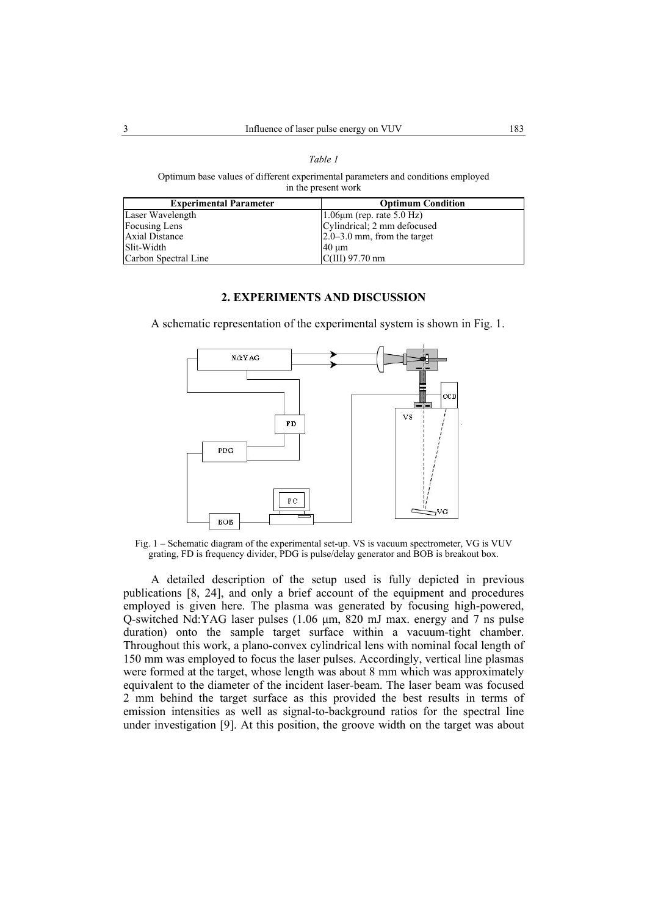#### *Table 1*

Optimum base values of different experimental parameters and conditions employed in the present work

| <b>Experimental Parameter</b> | <b>Optimum Condition</b>        |
|-------------------------------|---------------------------------|
| Laser Wavelength              | $1.06 \mu m$ (rep. rate 5.0 Hz) |
| <b>Focusing Lens</b>          | Cylindrical; 2 mm defocused     |
| Axial Distance                | $2.0 - 3.0$ mm, from the target |
| Slit-Width                    | $40 \mu m$                      |
| Carbon Spectral Line          | $C(III)$ 97.70 nm               |

## **2. EXPERIMENTS AND DISCUSSION**

A schematic representation of the experimental system is shown in Fig. 1.



Fig. 1 – Schematic diagram of the experimental set-up. VS is vacuum spectrometer, VG is VUV grating, FD is frequency divider, PDG is pulse/delay generator and BOB is breakout box.

A detailed description of the setup used is fully depicted in previous publications [8, 24], and only a brief account of the equipment and procedures employed is given here. The plasma was generated by focusing high-powered, Q-switched Nd:YAG laser pulses (1.06 µm, 820 mJ max. energy and 7 ns pulse duration) onto the sample target surface within a vacuum-tight chamber. Throughout this work, a plano-convex cylindrical lens with nominal focal length of 150 mm was employed to focus the laser pulses. Accordingly, vertical line plasmas were formed at the target, whose length was about 8 mm which was approximately equivalent to the diameter of the incident laser-beam. The laser beam was focused 2 mm behind the target surface as this provided the best results in terms of emission intensities as well as signal-to-background ratios for the spectral line under investigation [9]. At this position, the groove width on the target was about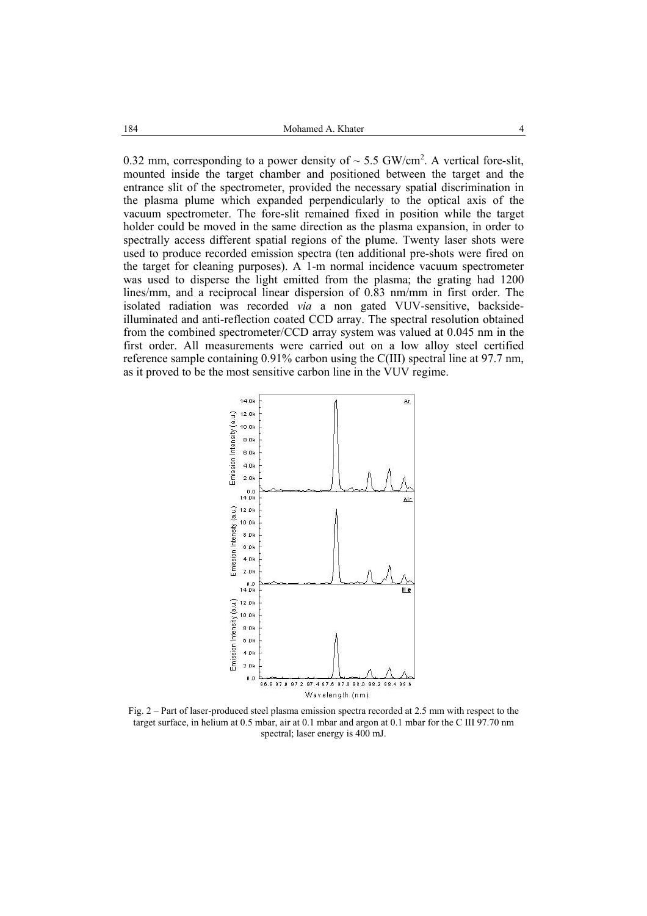0.32 mm, corresponding to a power density of  $\sim$  5.5 GW/cm<sup>2</sup>. A vertical fore-slit, mounted inside the target chamber and positioned between the target and the entrance slit of the spectrometer, provided the necessary spatial discrimination in the plasma plume which expanded perpendicularly to the optical axis of the vacuum spectrometer. The fore-slit remained fixed in position while the target holder could be moved in the same direction as the plasma expansion, in order to spectrally access different spatial regions of the plume. Twenty laser shots were used to produce recorded emission spectra (ten additional pre-shots were fired on the target for cleaning purposes). A 1-m normal incidence vacuum spectrometer was used to disperse the light emitted from the plasma; the grating had 1200 lines/mm, and a reciprocal linear dispersion of 0.83 nm/mm in first order. The isolated radiation was recorded *via* a non gated VUV-sensitive, backsideilluminated and anti-reflection coated CCD array. The spectral resolution obtained from the combined spectrometer/CCD array system was valued at 0.045 nm in the first order. All measurements were carried out on a low alloy steel certified reference sample containing 0.91% carbon using the C(III) spectral line at 97.7 nm, as it proved to be the most sensitive carbon line in the VUV regime.



Fig. 2 – Part of laser-produced steel plasma emission spectra recorded at 2.5 mm with respect to the target surface, in helium at 0.5 mbar, air at 0.1 mbar and argon at 0.1 mbar for the C III 97.70 nm spectral; laser energy is 400 mJ.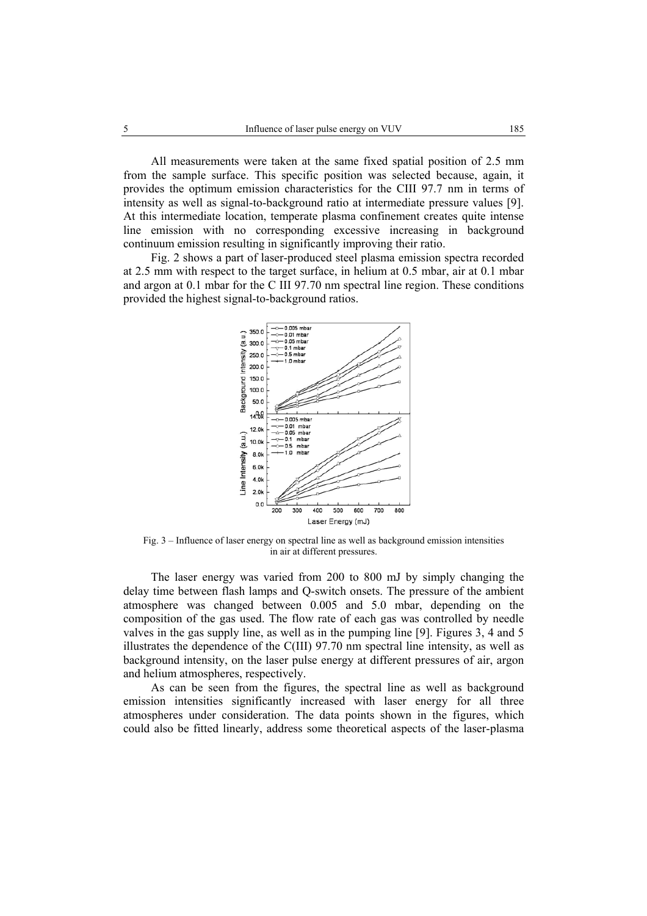All measurements were taken at the same fixed spatial position of 2.5 mm from the sample surface. This specific position was selected because, again, it provides the optimum emission characteristics for the CIII 97.7 nm in terms of intensity as well as signal-to-background ratio at intermediate pressure values [9]. At this intermediate location, temperate plasma confinement creates quite intense line emission with no corresponding excessive increasing in background continuum emission resulting in significantly improving their ratio.

Fig. 2 shows a part of laser-produced steel plasma emission spectra recorded at 2.5 mm with respect to the target surface, in helium at 0.5 mbar, air at 0.1 mbar and argon at 0.1 mbar for the C III 97.70 nm spectral line region. These conditions provided the highest signal-to-background ratios.



Fig. 3 – Influence of laser energy on spectral line as well as background emission intensities in air at different pressures.

The laser energy was varied from 200 to 800 mJ by simply changing the delay time between flash lamps and Q-switch onsets. The pressure of the ambient atmosphere was changed between 0.005 and 5.0 mbar, depending on the composition of the gas used. The flow rate of each gas was controlled by needle valves in the gas supply line, as well as in the pumping line [9]. Figures 3, 4 and 5 illustrates the dependence of the C(III) 97.70 nm spectral line intensity, as well as background intensity, on the laser pulse energy at different pressures of air, argon and helium atmospheres, respectively.

As can be seen from the figures, the spectral line as well as background emission intensities significantly increased with laser energy for all three atmospheres under consideration. The data points shown in the figures, which could also be fitted linearly, address some theoretical aspects of the laser-plasma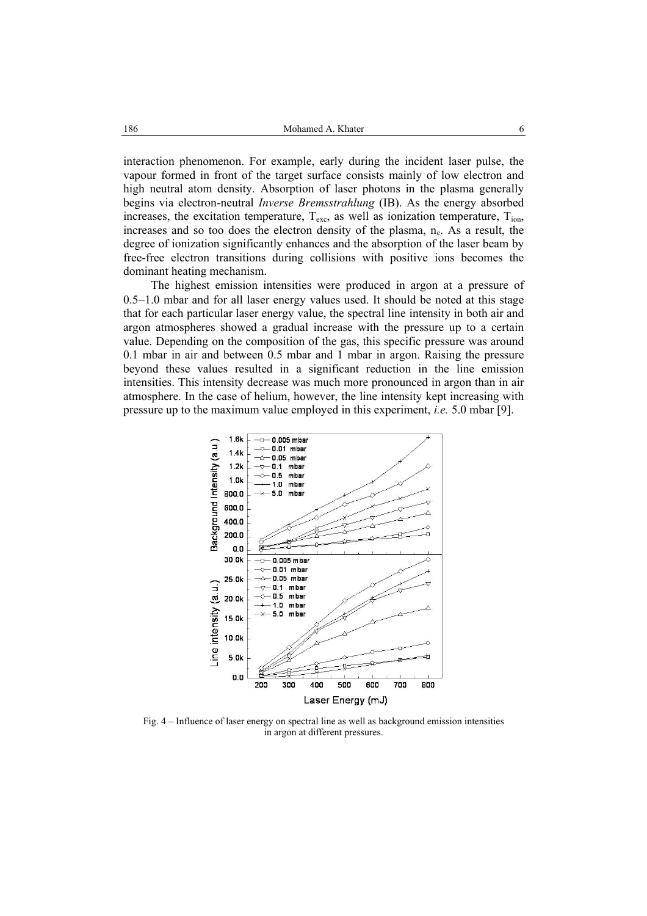interaction phenomenon. For example, early during the incident laser pulse, the vapour formed in front of the target surface consists mainly of low electron and high neutral atom density. Absorption of laser photons in the plasma generally begins via electron-neutral *Inverse Bremsstrahlung* (IB). As the energy absorbed increases, the excitation temperature,  $T_{\text{exc}}$ , as well as ionization temperature,  $T_{\text{ion}}$ , increases and so too does the electron density of the plasma, n<sub>e</sub>. As a result, the degree of ionization significantly enhances and the absorption of the laser beam by free-free electron transitions during collisions with positive ions becomes the dominant heating mechanism.

The highest emission intensities were produced in argon at a pressure of 0.5−1.0 mbar and for all laser energy values used. It should be noted at this stage that for each particular laser energy value, the spectral line intensity in both air and argon atmospheres showed a gradual increase with the pressure up to a certain value. Depending on the composition of the gas, this specific pressure was around 0.1 mbar in air and between 0.5 mbar and 1 mbar in argon. Raising the pressure beyond these values resulted in a significant reduction in the line emission intensities. This intensity decrease was much more pronounced in argon than in air atmosphere. In the case of helium, however, the line intensity kept increasing with pressure up to the maximum value employed in this experiment, *i.e.* 5.0 mbar [9].



Fig. 4 – Influence of laser energy on spectral line as well as background emission intensities in argon at different pressures.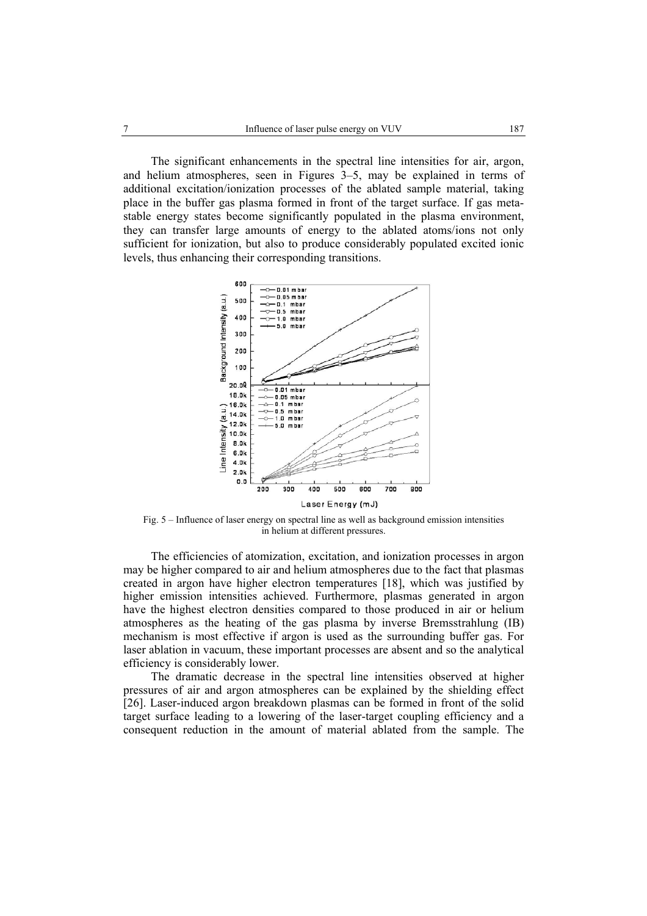The significant enhancements in the spectral line intensities for air, argon, and helium atmospheres, seen in Figures 3–5, may be explained in terms of additional excitation/ionization processes of the ablated sample material, taking place in the buffer gas plasma formed in front of the target surface. If gas metastable energy states become significantly populated in the plasma environment, they can transfer large amounts of energy to the ablated atoms/ions not only sufficient for ionization, but also to produce considerably populated excited ionic levels, thus enhancing their corresponding transitions.



Fig. 5 – Influence of laser energy on spectral line as well as background emission intensities in helium at different pressures.

The efficiencies of atomization, excitation, and ionization processes in argon may be higher compared to air and helium atmospheres due to the fact that plasmas created in argon have higher electron temperatures [18], which was justified by higher emission intensities achieved. Furthermore, plasmas generated in argon have the highest electron densities compared to those produced in air or helium atmospheres as the heating of the gas plasma by inverse Bremsstrahlung (IB) mechanism is most effective if argon is used as the surrounding buffer gas. For laser ablation in vacuum, these important processes are absent and so the analytical efficiency is considerably lower.

The dramatic decrease in the spectral line intensities observed at higher pressures of air and argon atmospheres can be explained by the shielding effect [26]. Laser-induced argon breakdown plasmas can be formed in front of the solid target surface leading to a lowering of the laser-target coupling efficiency and a consequent reduction in the amount of material ablated from the sample. The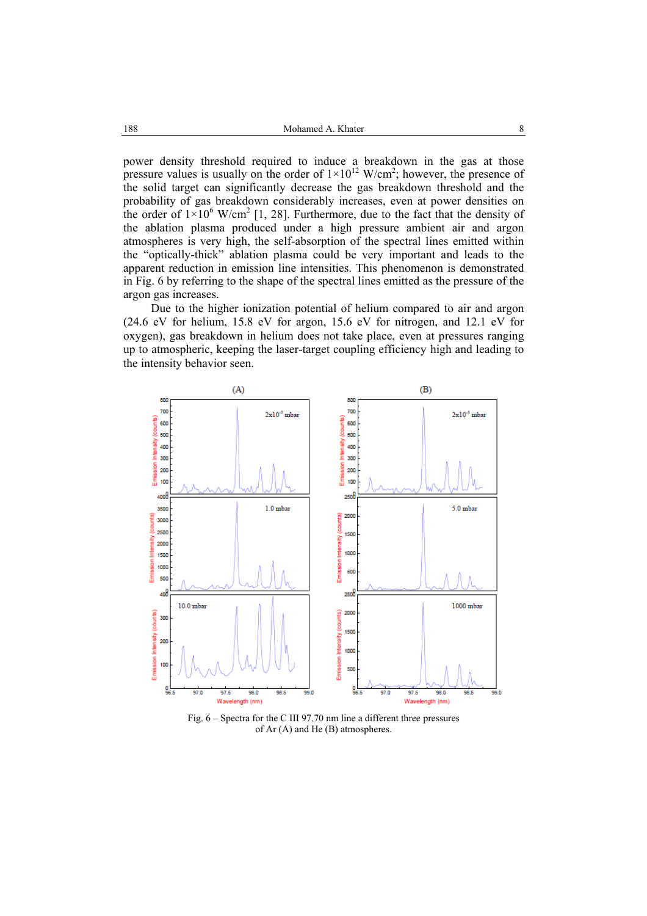power density threshold required to induce a breakdown in the gas at those pressure values is usually on the order of  $1 \times 10^{12}$  W/cm<sup>2</sup>; however, the presence of the solid target can significantly decrease the gas breakdown threshold and the probability of gas breakdown considerably increases, even at power densities on the order of  $1\times10^6$  W/cm<sup>2</sup> [1, 28]. Furthermore, due to the fact that the density of the ablation plasma produced under a high pressure ambient air and argon atmospheres is very high, the self-absorption of the spectral lines emitted within the "optically-thick" ablation plasma could be very important and leads to the apparent reduction in emission line intensities. This phenomenon is demonstrated in Fig. 6 by referring to the shape of the spectral lines emitted as the pressure of the argon gas increases.

Due to the higher ionization potential of helium compared to air and argon (24.6 eV for helium, 15.8 eV for argon, 15.6 eV for nitrogen, and 12.1 eV for oxygen), gas breakdown in helium does not take place, even at pressures ranging up to atmospheric, keeping the laser-target coupling efficiency high and leading to the intensity behavior seen.



Fig. 6 – Spectra for the C III 97.70 nm line a different three pressures of Ar (A) and He (B) atmospheres.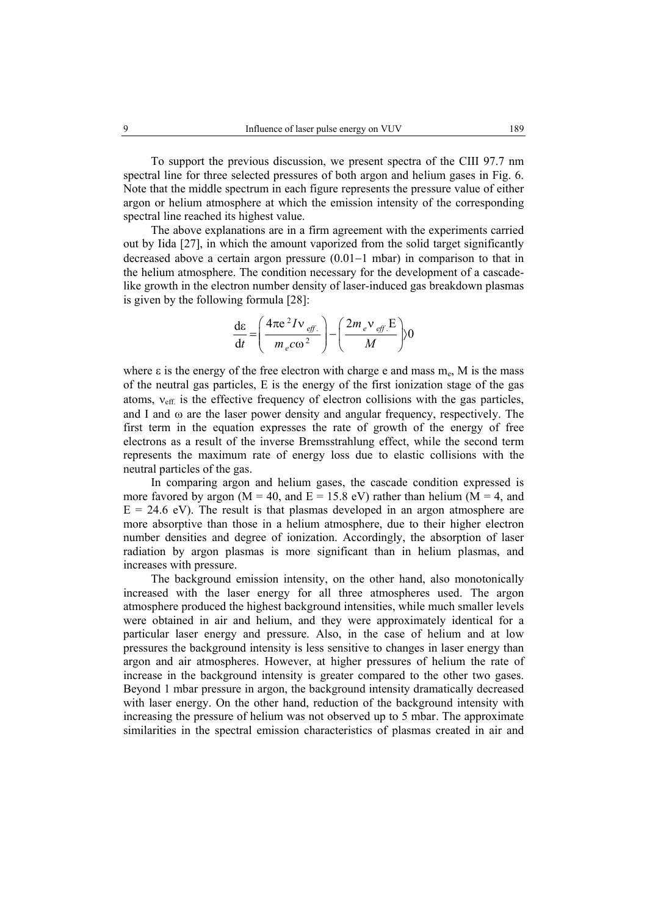To support the previous discussion, we present spectra of the CIII 97.7 nm spectral line for three selected pressures of both argon and helium gases in Fig. 6. Note that the middle spectrum in each figure represents the pressure value of either argon or helium atmosphere at which the emission intensity of the corresponding spectral line reached its highest value.

The above explanations are in a firm agreement with the experiments carried out by Iida [27], in which the amount vaporized from the solid target significantly decreased above a certain argon pressure (0.01−1 mbar) in comparison to that in the helium atmosphere. The condition necessary for the development of a cascadelike growth in the electron number density of laser-induced gas breakdown plasmas is given by the following formula [28]:

$$
\frac{\mathrm{d}\varepsilon}{\mathrm{d}t} = \left(\frac{4\pi\mathrm{e}^2I\mathrm{v}_{\text{eff.}}}{m_e\mathrm{co}^2}\right) - \left(\frac{2m_e\mathrm{v}_{\text{eff.}}E}{M}\right)0
$$

where  $\varepsilon$  is the energy of the free electron with charge e and mass  $m_e$ , M is the mass of the neutral gas particles, E is the energy of the first ionization stage of the gas atoms,  $v_{\text{eff}}$  is the effective frequency of electron collisions with the gas particles, and I and  $\omega$  are the laser power density and angular frequency, respectively. The first term in the equation expresses the rate of growth of the energy of free electrons as a result of the inverse Bremsstrahlung effect, while the second term represents the maximum rate of energy loss due to elastic collisions with the neutral particles of the gas.

In comparing argon and helium gases, the cascade condition expressed is more favored by argon ( $M = 40$ , and  $E = 15.8$  eV) rather than helium ( $M = 4$ , and  $E = 24.6$  eV). The result is that plasmas developed in an argon atmosphere are more absorptive than those in a helium atmosphere, due to their higher electron number densities and degree of ionization. Accordingly, the absorption of laser radiation by argon plasmas is more significant than in helium plasmas, and increases with pressure.

The background emission intensity, on the other hand, also monotonically increased with the laser energy for all three atmospheres used. The argon atmosphere produced the highest background intensities, while much smaller levels were obtained in air and helium, and they were approximately identical for a particular laser energy and pressure. Also, in the case of helium and at low pressures the background intensity is less sensitive to changes in laser energy than argon and air atmospheres. However, at higher pressures of helium the rate of increase in the background intensity is greater compared to the other two gases. Beyond 1 mbar pressure in argon, the background intensity dramatically decreased with laser energy. On the other hand, reduction of the background intensity with increasing the pressure of helium was not observed up to 5 mbar. The approximate similarities in the spectral emission characteristics of plasmas created in air and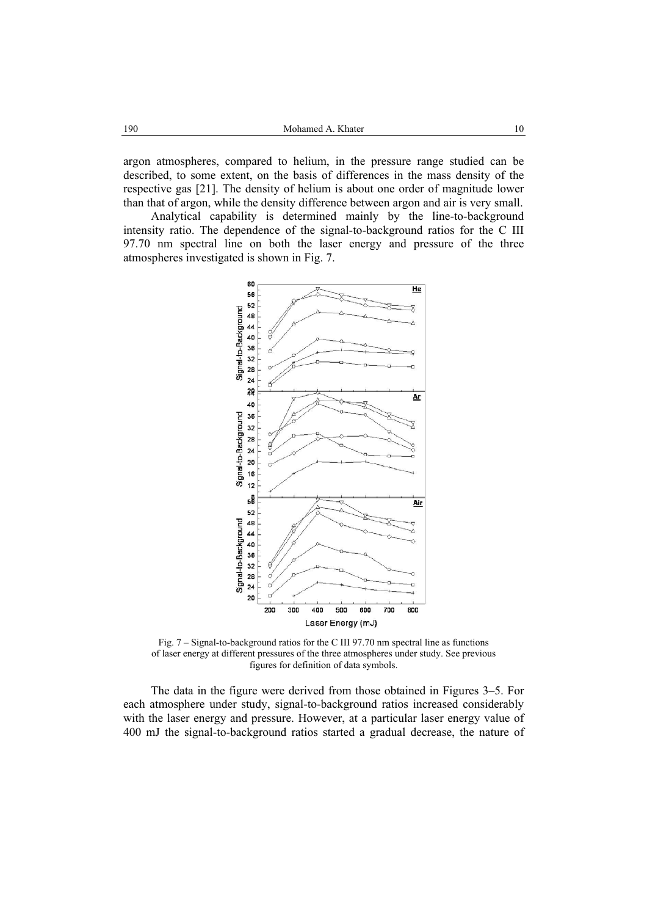argon atmospheres, compared to helium, in the pressure range studied can be described, to some extent, on the basis of differences in the mass density of the respective gas [21]. The density of helium is about one order of magnitude lower than that of argon, while the density difference between argon and air is very small.

Analytical capability is determined mainly by the line-to-background intensity ratio. The dependence of the signal-to-background ratios for the C III 97.70 nm spectral line on both the laser energy and pressure of the three atmospheres investigated is shown in Fig. 7.



Fig. 7 – Signal-to-background ratios for the C III 97.70 nm spectral line as functions of laser energy at different pressures of the three atmospheres under study. See previous figures for definition of data symbols.

The data in the figure were derived from those obtained in Figures 3–5. For each atmosphere under study, signal-to-background ratios increased considerably with the laser energy and pressure. However, at a particular laser energy value of 400 mJ the signal-to-background ratios started a gradual decrease, the nature of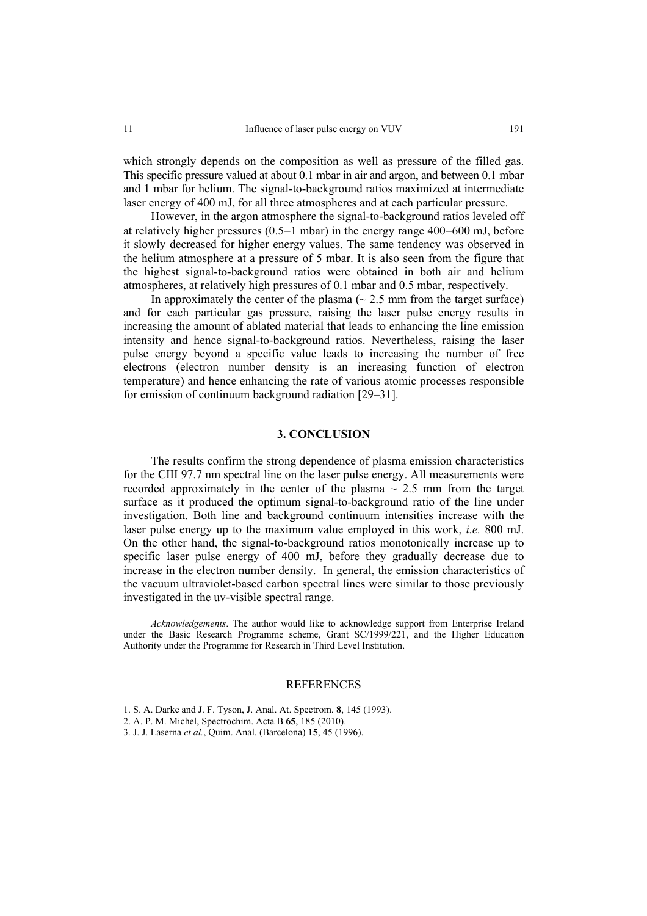which strongly depends on the composition as well as pressure of the filled gas. This specific pressure valued at about 0.1 mbar in air and argon, and between 0.1 mbar and 1 mbar for helium. The signal-to-background ratios maximized at intermediate laser energy of 400 mJ, for all three atmospheres and at each particular pressure.

However, in the argon atmosphere the signal-to-background ratios leveled off at relatively higher pressures (0.5−1 mbar) in the energy range 400−600 mJ, before it slowly decreased for higher energy values. The same tendency was observed in the helium atmosphere at a pressure of 5 mbar. It is also seen from the figure that the highest signal-to-background ratios were obtained in both air and helium atmospheres, at relatively high pressures of 0.1 mbar and 0.5 mbar, respectively.

In approximately the center of the plasma  $($   $\sim$  2.5 mm from the target surface) and for each particular gas pressure, raising the laser pulse energy results in increasing the amount of ablated material that leads to enhancing the line emission intensity and hence signal-to-background ratios. Nevertheless, raising the laser pulse energy beyond a specific value leads to increasing the number of free electrons (electron number density is an increasing function of electron temperature) and hence enhancing the rate of various atomic processes responsible for emission of continuum background radiation [29–31].

# **3. CONCLUSION**

The results confirm the strong dependence of plasma emission characteristics for the CIII 97.7 nm spectral line on the laser pulse energy. All measurements were recorded approximately in the center of the plasma  $\sim$  2.5 mm from the target surface as it produced the optimum signal-to-background ratio of the line under investigation. Both line and background continuum intensities increase with the laser pulse energy up to the maximum value employed in this work, *i.e.* 800 mJ. On the other hand, the signal-to-background ratios monotonically increase up to specific laser pulse energy of 400 mJ, before they gradually decrease due to increase in the electron number density. In general, the emission characteristics of the vacuum ultraviolet-based carbon spectral lines were similar to those previously investigated in the uv-visible spectral range.

*Acknowledgements*. The author would like to acknowledge support from Enterprise Ireland under the Basic Research Programme scheme, Grant SC/1999/221, and the Higher Education Authority under the Programme for Research in Third Level Institution.

## REFERENCES

- 1. S. A. Darke and J. F. Tyson, J. Anal. At. Spectrom. **8**, 145 (1993).
- 2. A. P. M. Michel, Spectrochim. Acta B **65**, 185 (2010).
- 3. J. J. Laserna *et al.*, Quim. Anal. (Barcelona) **15**, 45 (1996).